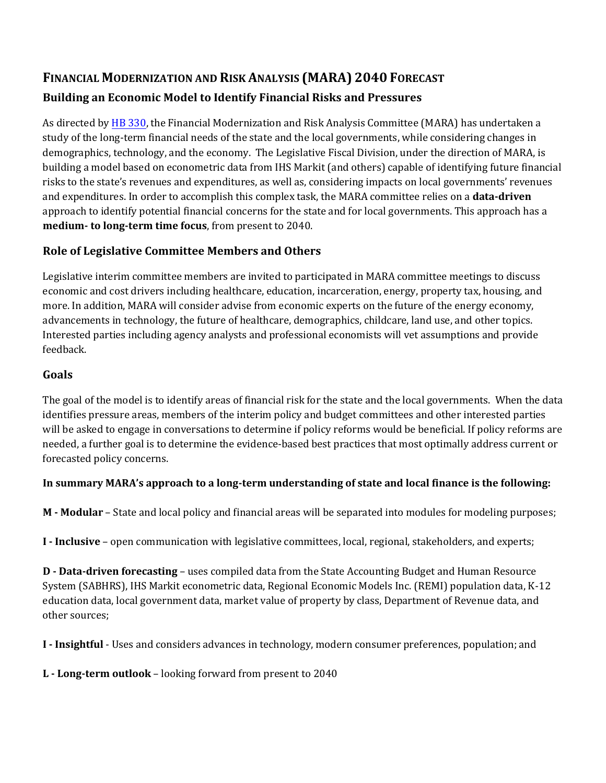# **FINANCIAL MODERNIZATION AND RISK ANALYSIS (MARA) 2040 FORECAST Building an Economic Model to Identify Financial Risks and Pressures**

As directed by [HB 330,](https://leg.mt.gov/bills/2021/billpdf/HB0330.pdf) the Financial Modernization and Risk Analysis Committee (MARA) has undertaken a study of the long-term financial needs of the state and the local governments, while considering changes in demographics, technology, and the economy. The Legislative Fiscal Division, under the direction of MARA, is building a model based on econometric data from IHS Markit (and others) capable of identifying future financial risks to the state's revenues and expenditures, as well as, considering impacts on local governments' revenues and expenditures. In order to accomplish this complex task, the MARA committee relies on a **data-driven**  approach to identify potential financial concerns for the state and for local governments. This approach has a **medium- to long-term time focus**, from present to 2040.

## **Role of Legislative Committee Members and Others**

Legislative interim committee members are invited to participated in MARA committee meetings to discuss economic and cost drivers including healthcare, education, incarceration, energy, property tax, housing, and more. In addition, MARA will consider advise from economic experts on the future of the energy economy, advancements in technology, the future of healthcare, demographics, childcare, land use, and other topics. Interested parties including agency analysts and professional economists will vet assumptions and provide feedback.

#### **Goals**

The goal of the model is to identify areas of financial risk for the state and the local governments. When the data identifies pressure areas, members of the interim policy and budget committees and other interested parties will be asked to engage in conversations to determine if policy reforms would be beneficial. If policy reforms are needed, a further goal is to determine the evidence-based best practices that most optimally address current or forecasted policy concerns.

## **In summary MARA's approach to a long-term understanding of state and local finance is the following:**

**M - Modular** – State and local policy and financial areas will be separated into modules for modeling purposes;

**I - Inclusive** – open communication with legislative committees, local, regional, stakeholders, and experts;

**D - Data-driven forecasting** – uses compiled data from the State Accounting Budget and Human Resource System (SABHRS), IHS Markit econometric data, Regional Economic Models Inc. (REMI) population data, K-12 education data, local government data, market value of property by class, Department of Revenue data, and other sources;

**I - Insightful** - Uses and considers advances in technology, modern consumer preferences, population; and

**L - Long-term outlook** – looking forward from present to 2040